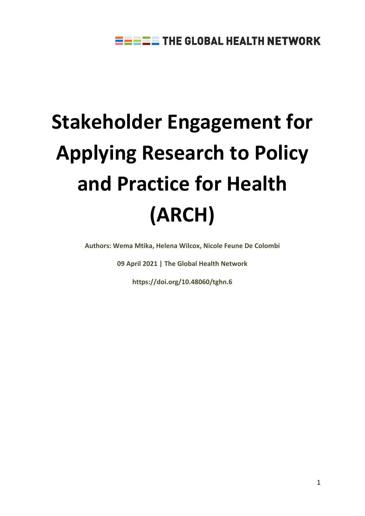# **Stakeholder Engagement for Applying Research to Policy and Practice for Health (ARCH)**

**Authors: Wema Mtika, Helena Wilcox, Nicole Feune De Colombi** 

**09 April 2021 | The Global Health Network**

**[https://doi.org/10.48060/tghn.6](https://arch.tghn.org/stakeholder-engagement-arch-doi/)**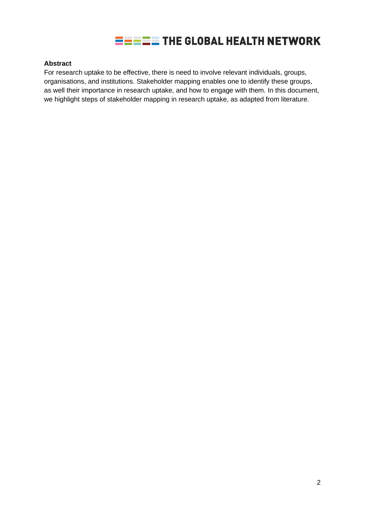

#### **Abstract**

For research uptake to be effective, there is need to involve relevant individuals, groups, organisations, and institutions. Stakeholder mapping enables one to identify these groups, as well their importance in research uptake, and how to engage with them. In this document, we highlight steps of stakeholder mapping in research uptake, as adapted from literature.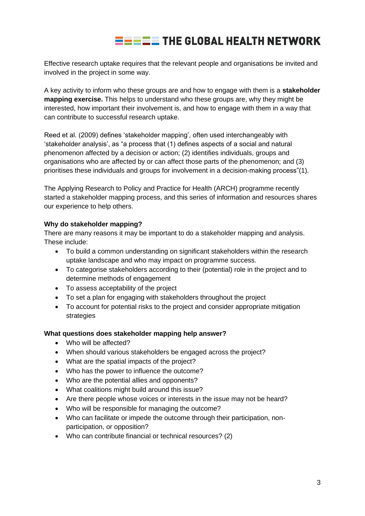## $\equiv \equiv \equiv \equiv$  THE GLOBAL HEALTH NETWORK

Effective research uptake requires that the relevant people and organisations be invited and involved in the project in some way.

A key activity to inform who these groups are and how to engage with them is a **stakeholder mapping exercise.** This helps to understand who these groups are, why they might be interested, how important their involvement is, and how to engage with them in a way that can contribute to successful research uptake.

Reed et al. (2009) defines 'stakeholder mapping', often used interchangeably with 'stakeholder analysis', as "a process that (1) defines aspects of a social and natural phenomenon affected by a decision or action; (2) identifies individuals, groups and organisations who are affected by or can affect those parts of the phenomenon; and (3) prioritises these individuals and groups for involvement in a decision-making process"(1).

The Applying Research to Policy and Practice for Health (ARCH) programme recently started a stakeholder mapping process, and this series of information and resources shares our experience to help others.

#### **Why do stakeholder mapping?**

There are many reasons it may be important to do a stakeholder mapping and analysis. These include:

- To build a common understanding on significant stakeholders within the research uptake landscape and who may impact on programme success.
- To categorise stakeholders according to their (potential) role in the project and to determine methods of engagement
- To assess acceptability of the project
- To set a plan for engaging with stakeholders throughout the project
- To account for potential risks to the project and consider appropriate mitigation strategies

#### **What questions does stakeholder mapping help answer?**

- Who will be affected?
- When should various stakeholders be engaged across the project?
- What are the spatial impacts of the project?
- Who has the power to influence the outcome?
- Who are the potential allies and opponents?
- What coalitions might build around this issue?
- Are there people whose voices or interests in the issue may not be heard?
- Who will be responsible for managing the outcome?
- Who can facilitate or impede the outcome through their participation, nonparticipation, or opposition?
- Who can contribute financial or technical resources? (2)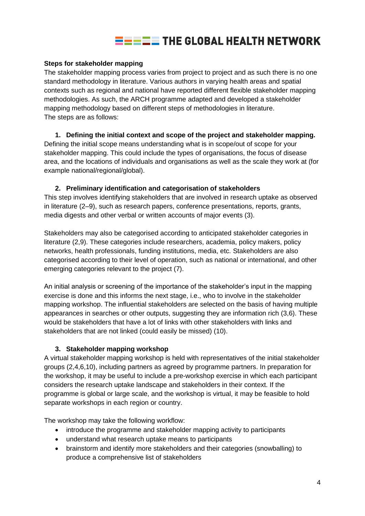### $\equiv \equiv \equiv \equiv$  THE GLOBAL HEALTH NETWORK

#### **Steps for stakeholder mapping**

The stakeholder mapping process varies from project to project and as such there is no one standard methodology in literature. Various authors in varying health areas and spatial contexts such as regional and national have reported different flexible stakeholder mapping methodologies. As such, the ARCH programme adapted and developed a stakeholder mapping methodology based on different steps of methodologies in literature. The steps are as follows:

#### **1. Defining the initial context and scope of the project and stakeholder mapping.**

Defining the initial scope means understanding what is in scope/out of scope for your stakeholder mapping. This could include the types of organisations, the focus of disease area, and the locations of individuals and organisations as well as the scale they work at (for example national/regional/global).

#### **2. Preliminary identification and categorisation of stakeholders**

This step involves identifying stakeholders that are involved in research uptake as observed in literature (2–9), such as research papers, conference presentations, reports, grants, media digests and other verbal or written accounts of major events (3).

Stakeholders may also be categorised according to anticipated stakeholder categories in literature (2,9). These categories include researchers, academia, policy makers, policy networks, health professionals, funding institutions, media, etc. Stakeholders are also categorised according to their level of operation, such as national or international, and other emerging categories relevant to the project (7).

An initial analysis or screening of the importance of the stakeholder's input in the mapping exercise is done and this informs the next stage, i.e., who to involve in the stakeholder mapping workshop. The influential stakeholders are selected on the basis of having multiple appearances in searches or other outputs, suggesting they are information rich (3,6). These would be stakeholders that have a lot of links with other stakeholders with links and stakeholders that are not linked (could easily be missed) (10).

#### **3. Stakeholder mapping workshop**

A virtual stakeholder mapping workshop is held with representatives of the initial stakeholder groups (2,4,6,10), including partners as agreed by programme partners. In preparation for the workshop, it may be useful to include a pre-workshop exercise in which each participant considers the research uptake landscape and stakeholders in their context. If the programme is global or large scale, and the workshop is virtual, it may be feasible to hold separate workshops in each region or country.

The workshop may take the following workflow:

- introduce the programme and stakeholder mapping activity to participants
- understand what research uptake means to participants
- brainstorm and identify more stakeholders and their categories (snowballing) to produce a comprehensive list of stakeholders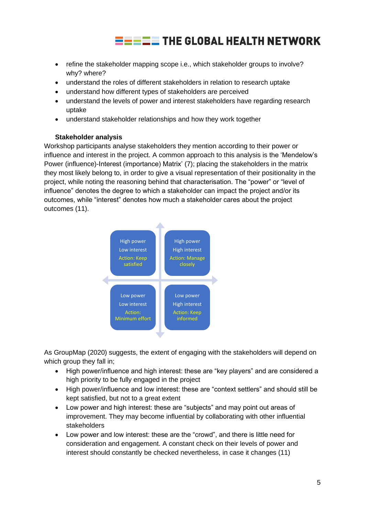## $\equiv$   $\equiv$   $\equiv$  THE GLOBAL HEALTH NETWORK

- refine the stakeholder mapping scope i.e., which stakeholder groups to involve? why? where?
- understand the roles of different stakeholders in relation to research uptake
- understand how different types of stakeholders are perceived
- understand the levels of power and interest stakeholders have regarding research uptake
- understand stakeholder relationships and how they work together

#### **Stakeholder analysis**

Workshop participants analyse stakeholders they mention according to their power or influence and interest in the project. A common approach to this analysis is the 'Mendelow's Power (influence)-Interest (importance) Matrix' (7); placing the stakeholders in the matrix they most likely belong to, in order to give a visual representation of their positionality in the project, while noting the reasoning behind that characterisation. The "power" or "level of influence" denotes the degree to which a stakeholder can impact the project and/or its outcomes, while "interest" denotes how much a stakeholder cares about the project outcomes (11).



As GroupMap (2020) suggests, the extent of engaging with the stakeholders will depend on which group they fall in;

- High power/influence and high interest: these are "key players" and are considered a high priority to be fully engaged in the project
- High power/influence and low interest: these are "context settlers" and should still be kept satisfied, but not to a great extent
- Low power and high interest: these are "subjects" and may point out areas of improvement. They may become influential by collaborating with other influential stakeholders
- Low power and low interest: these are the "crowd", and there is little need for consideration and engagement. A constant check on their levels of power and interest should constantly be checked nevertheless, in case it changes (11)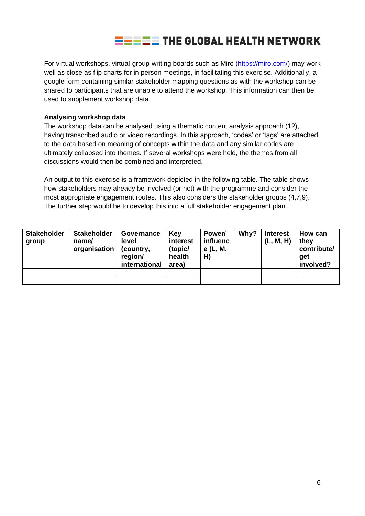

For virtual workshops, virtual-group-writing boards such as Miro [\(https://miro.com/\)](https://miro.com/) may work well as close as flip charts for in person meetings, in facilitating this exercise. Additionally, a google form containing similar stakeholder mapping questions as with the workshop can be shared to participants that are unable to attend the workshop. This information can then be used to supplement workshop data.

#### **Analysing workshop data**

The workshop data can be analysed using a thematic content analysis approach (12), having transcribed audio or video recordings. In this approach, 'codes' or 'tags' are attached to the data based on meaning of concepts within the data and any similar codes are ultimately collapsed into themes. If several workshops were held, the themes from all discussions would then be combined and interpreted.

An output to this exercise is a framework depicted in the following table. The table shows how stakeholders may already be involved (or not) with the programme and consider the most appropriate engagement routes. This also considers the stakeholder groups (4,7,9). The further step would be to develop this into a full stakeholder engagement plan.

| <b>Stakeholder</b><br>group | <b>Stakeholder</b><br>name/<br>organisation | Governance<br>level<br>(country,<br>region/<br>international | Key<br>interest<br>(topic/<br>health<br>area) | Power/<br>influenc<br>e (L, M,<br>H) | Why? | <b>Interest</b><br>(L, M, H) | How can<br>they<br>contribute/<br>get<br>involved? |
|-----------------------------|---------------------------------------------|--------------------------------------------------------------|-----------------------------------------------|--------------------------------------|------|------------------------------|----------------------------------------------------|
|                             |                                             |                                                              |                                               |                                      |      |                              |                                                    |
|                             |                                             |                                                              |                                               |                                      |      |                              |                                                    |